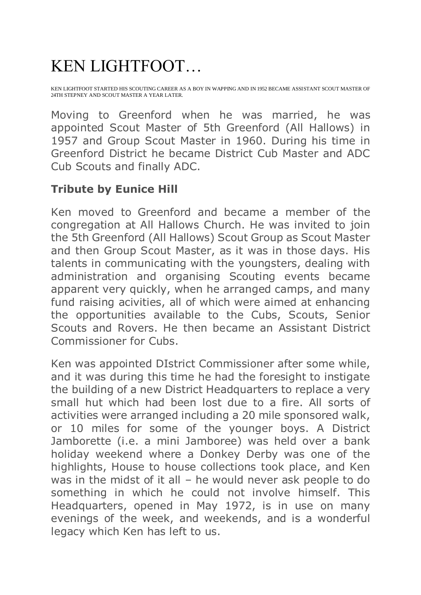## KEN LIGHTFOOT…

KEN LIGHTFOOT STARTED HIS SCOUTING CAREER AS A BOY IN WAPPING AND IN 1952 BECAME ASSISTANT SCOUT MASTER OF 24TH STEPNEY AND SCOUT MASTER A YEAR LATER.

Moving to Greenford when he was married, he was appointed Scout Master of 5th Greenford (All Hallows) in 1957 and Group Scout Master in 1960. During his time in Greenford District he became District Cub Master and ADC Cub Scouts and finally ADC.

## **Tribute by Eunice Hill**

Ken moved to Greenford and became a member of the congregation at All Hallows Church. He was invited to join the 5th Greenford (All Hallows) Scout Group as Scout Master and then Group Scout Master, as it was in those days. His talents in communicating with the youngsters, dealing with administration and organising Scouting events became apparent very quickly, when he arranged camps, and many fund raising acivities, all of which were aimed at enhancing the opportunities available to the Cubs, Scouts, Senior Scouts and Rovers. He then became an Assistant District Commissioner for Cubs.

Ken was appointed DIstrict Commissioner after some while, and it was during this time he had the foresight to instigate the building of a new District Headquarters to replace a very small hut which had been lost due to a fire. All sorts of activities were arranged including a 20 mile sponsored walk, or 10 miles for some of the younger boys. A District Jamborette (i.e. a mini Jamboree) was held over a bank holiday weekend where a Donkey Derby was one of the highlights, House to house collections took place, and Ken was in the midst of it all – he would never ask people to do something in which he could not involve himself. This Headquarters, opened in May 1972, is in use on many evenings of the week, and weekends, and is a wonderful legacy which Ken has left to us.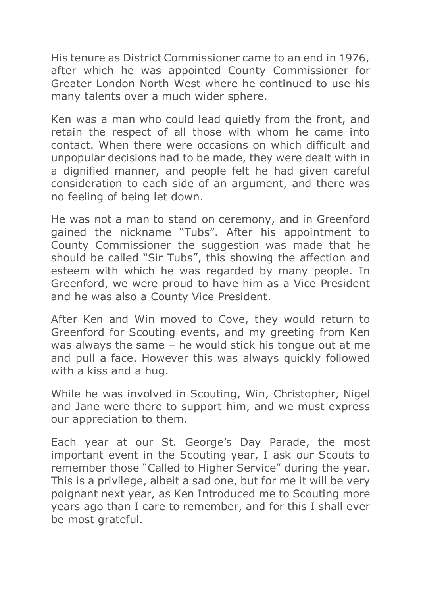His tenure as District Commissioner came to an end in 1976, after which he was appointed County Commissioner for Greater London North West where he continued to use his many talents over a much wider sphere.

Ken was a man who could lead quietly from the front, and retain the respect of all those with whom he came into contact. When there were occasions on which difficult and unpopular decisions had to be made, they were dealt with in a dignified manner, and people felt he had given careful consideration to each side of an argument, and there was no feeling of being let down.

He was not a man to stand on ceremony, and in Greenford gained the nickname "Tubs". After his appointment to County Commissioner the suggestion was made that he should be called "Sir Tubs", this showing the affection and esteem with which he was regarded by many people. In Greenford, we were proud to have him as a Vice President and he was also a County Vice President.

After Ken and Win moved to Cove, they would return to Greenford for Scouting events, and my greeting from Ken was always the same – he would stick his tongue out at me and pull a face. However this was always quickly followed with a kiss and a hug.

While he was involved in Scouting, Win, Christopher, Nigel and Jane were there to support him, and we must express our appreciation to them.

Each year at our St. George's Day Parade, the most important event in the Scouting year, I ask our Scouts to remember those "Called to Higher Service" during the year. This is a privilege, albeit a sad one, but for me it will be very poignant next year, as Ken Introduced me to Scouting more years ago than I care to remember, and for this I shall ever be most grateful.